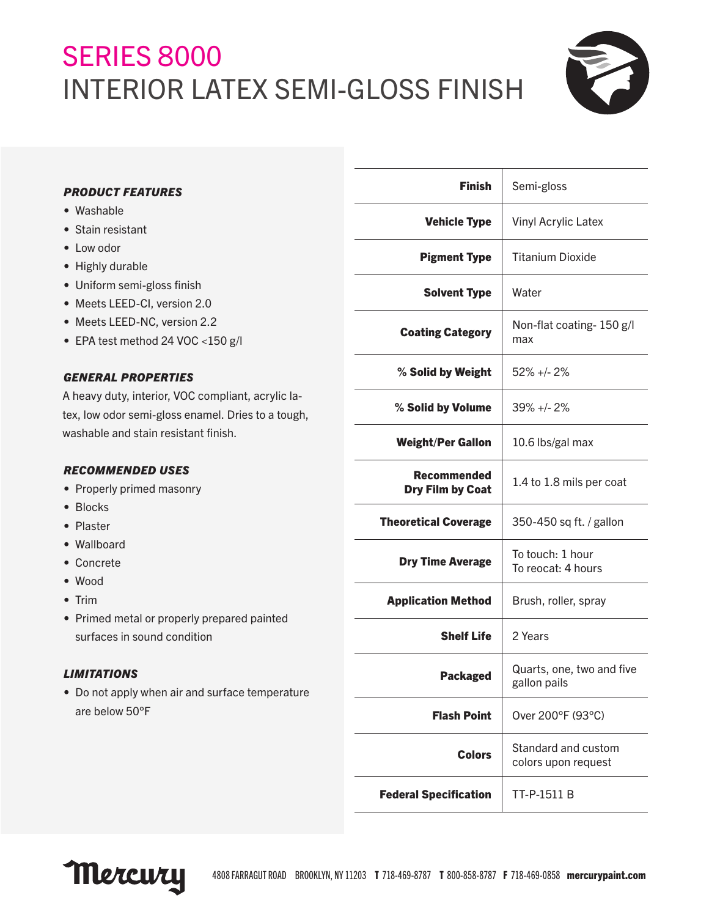## SERIES 8000 INTERIOR LATEX SEMI-GLOSS FINISH



#### *PRODUCT FEATURES*

- Washable
- Stain resistant
- Low odor
- Highly durable
- Uniform semi-gloss finish
- Meets LEED-CI, version 2.0
- Meets LEED-NC, version 2.2
- EPA test method 24 VOC <150 g/l

#### *GENERAL PROPERTIES*

A heavy duty, interior, VOC compliant, acrylic latex, low odor semi-gloss enamel. Dries to a tough, washable and stain resistant finish.

#### *RECOMMENDED USES*

- Properly primed masonry
- Blocks
- Plaster
- Wallboard
- Concrete
- Wood
- Trim
- Primed metal or properly prepared painted surfaces in sound condition

#### *LIMITATIONS*

• Do not apply when air and surface temperature are below 50°F

| <b>Finish</b>                          | Semi-gloss                                 |
|----------------------------------------|--------------------------------------------|
| <b>Vehicle Type</b>                    | <b>Vinyl Acrylic Latex</b>                 |
| <b>Pigment Type</b>                    | <b>Titanium Dioxide</b>                    |
| <b>Solvent Type</b>                    | Water                                      |
| <b>Coating Category</b>                | Non-flat coating- 150 g/l<br>max           |
| % Solid by Weight                      | $52\% +12\%$                               |
| % Solid by Volume                      | $39\% +12\%$                               |
| <b>Weight/Per Gallon</b>               | 10.6 lbs/gal max                           |
| Recommended<br><b>Dry Film by Coat</b> | 1.4 to 1.8 mils per coat                   |
| <b>Theoretical Coverage</b>            | 350-450 sq ft. / gallon                    |
| <b>Dry Time Average</b>                | To touch: 1 hour<br>To reocat: 4 hours     |
| <b>Application Method</b>              | Brush, roller, spray                       |
| <b>Shelf Life</b>                      | 2 Years                                    |
| <b>Packaged</b>                        | Quarts, one, two and five<br>gallon pails  |
| <b>Flash Point</b>                     | Over 200°F (93°C)                          |
| <b>Colors</b>                          | Standard and custom<br>colors upon request |
| <b>Federal Specification</b>           | TT-P-1511 B                                |